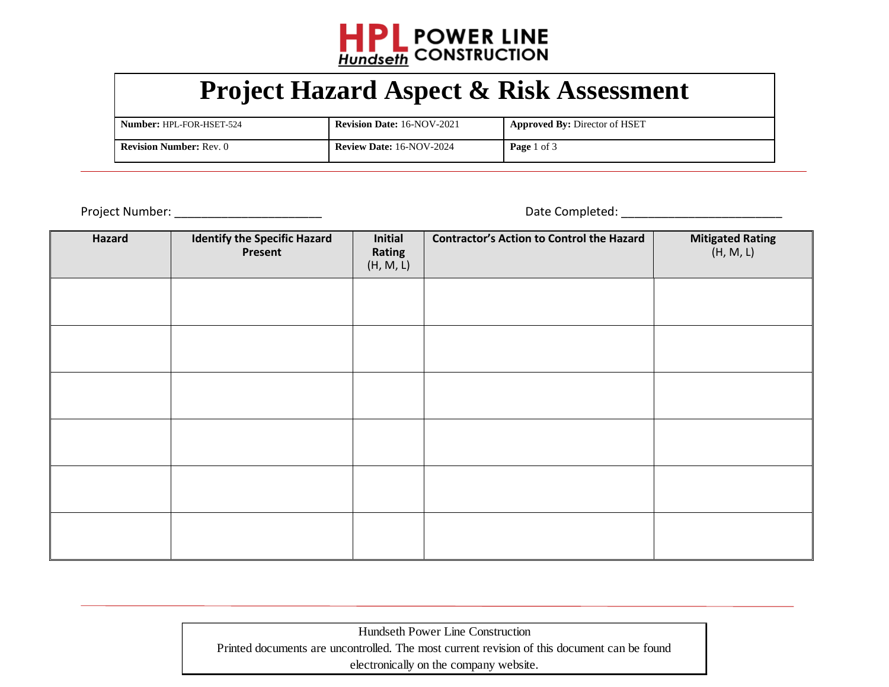

## **Project Hazard Aspect & Risk Assessment**

| <b>Number: HPL-FOR-HSET-524</b> | <b>Revision Date: 16-NOV-2021</b> | <b>Approved By: Director of HSET</b> |
|---------------------------------|-----------------------------------|--------------------------------------|
| <b>Revision Number: Rev. 0</b>  | <b>Review Date: 16-NOV-2024</b>   | <b>Page</b> 1 of 3                   |

 $\overline{a}$ 

Project Number: \_\_\_\_\_\_\_\_\_\_\_\_\_\_\_\_\_\_\_\_\_\_ Date Completed: \_\_\_\_\_\_\_\_\_\_\_\_\_\_\_\_\_\_\_\_\_\_\_\_

| Hazard | <b>Identify the Specific Hazard</b> | Initial             | <b>Contractor's Action to Control the Hazard</b> | <b>Mitigated Rating</b> |
|--------|-------------------------------------|---------------------|--------------------------------------------------|-------------------------|
|        | Present                             | Rating<br>(H, M, L) |                                                  | (H, M, L)               |
|        |                                     |                     |                                                  |                         |
|        |                                     |                     |                                                  |                         |
|        |                                     |                     |                                                  |                         |
|        |                                     |                     |                                                  |                         |
|        |                                     |                     |                                                  |                         |
|        |                                     |                     |                                                  |                         |
|        |                                     |                     |                                                  |                         |
|        |                                     |                     |                                                  |                         |
|        |                                     |                     |                                                  |                         |
|        |                                     |                     |                                                  |                         |
|        |                                     |                     |                                                  |                         |
|        |                                     |                     |                                                  |                         |

Hundseth Power Line Construction Printed documents are uncontrolled. The most current revision of this document can be found electronically on the company website.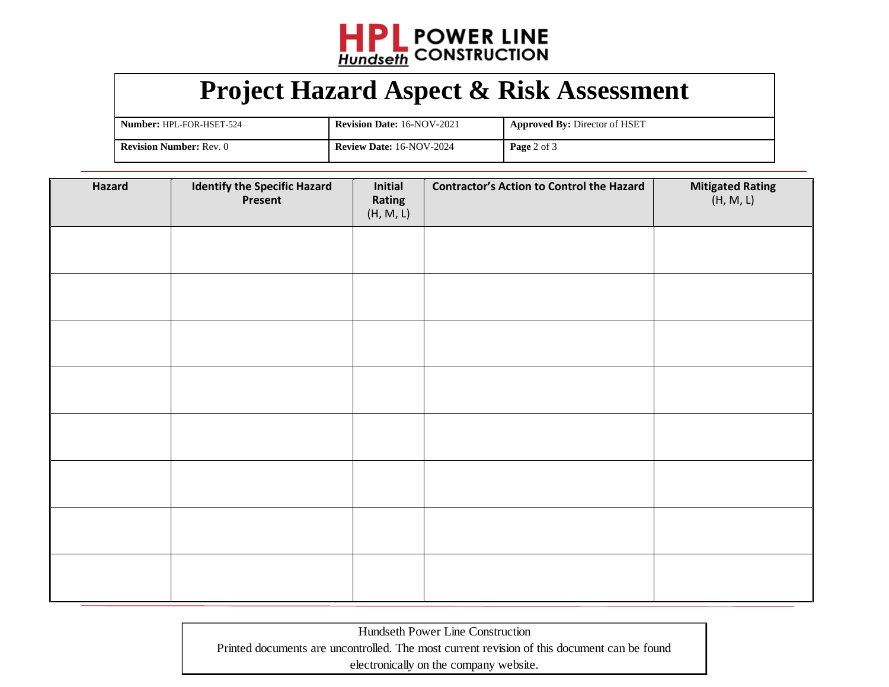

## **Project Hazard Aspect & Risk Assessment**

| Number: HPL-FOR-HSET-524       | <b>Revision Date: 16-NOV-2021</b> | <b>Approved By: Director of HSET</b> |
|--------------------------------|-----------------------------------|--------------------------------------|
| <b>Revision Number: Rev. 0</b> | <b>Review Date: 16-NOV-2024</b>   | <b>Page</b> 2 of 3                   |

| Hazard | <b>Identify the Specific Hazard</b><br>Present | Initial<br>Rating<br>(H, M, L) | <b>Contractor's Action to Control the Hazard</b> | Mitigated Rating<br>(H, M, L) |
|--------|------------------------------------------------|--------------------------------|--------------------------------------------------|-------------------------------|
|        |                                                |                                |                                                  |                               |
|        |                                                |                                |                                                  |                               |
|        |                                                |                                |                                                  |                               |
|        |                                                |                                |                                                  |                               |
|        |                                                |                                |                                                  |                               |
|        |                                                |                                |                                                  |                               |
|        |                                                |                                |                                                  |                               |
|        |                                                |                                |                                                  |                               |

Hundseth Power Line Construction Printed documents are uncontrolled. The most current revision of this document can be found electronically on the company website.